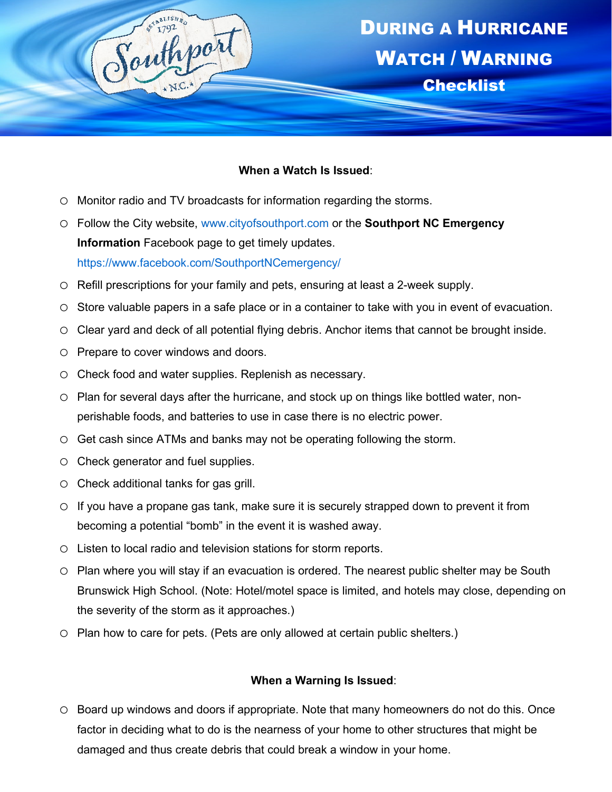

## **When a Watch Is Issued**:

- o Monitor radio and TV broadcasts for information regarding the storms.
- o Follow the City website, [www.cityofsouthport.com](http://www.cityofsouthport.com/) or the **Southport NC Emergency Information** Facebook page to get timely updates. https://www.facebook.com/SouthportNCemergency/
- o Refill prescriptions for your family and pets, ensuring at least a 2-week supply.
- o Store valuable papers in a safe place or in a container to take with you in event of evacuation.
- o Clear yard and deck of all potential flying debris. Anchor items that cannot be brought inside.
- o Prepare to cover windows and doors.
- o Check food and water supplies. Replenish as necessary.
- o Plan for several days after the hurricane, and stock up on things like bottled water, nonperishable foods, and batteries to use in case there is no electric power.
- o Get cash since ATMs and banks may not be operating following the storm.
- o Check generator and fuel supplies.
- o Check additional tanks for gas grill.
- $\circ$  If you have a propane gas tank, make sure it is securely strapped down to prevent it from becoming a potential "bomb" in the event it is washed away.
- o Listen to local radio and television stations for storm reports.
- o Plan where you will stay if an evacuation is ordered. The nearest public shelter may be South Brunswick High School. (Note: Hotel/motel space is limited, and hotels may close, depending on the severity of the storm as it approaches.)
- o Plan how to care for pets. (Pets are only allowed at certain public shelters.)

## **When a Warning Is Issued**:

o Board up windows and doors if appropriate. Note that many homeowners do not do this. Once factor in deciding what to do is the nearness of your home to other structures that might be damaged and thus create debris that could break a window in your home.